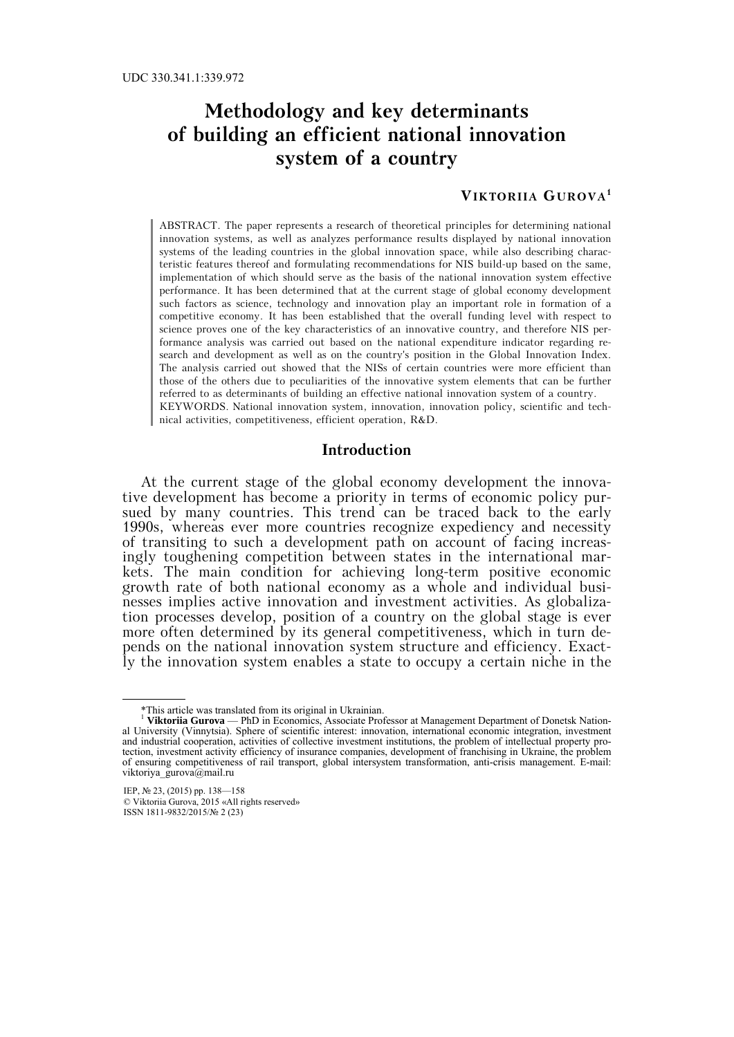# **Methodology and key determinants of building an efficient national innovation system of a country**

# **VIKTORIIA GUROVA1**

ABSTRACT. The paper represents a research of theoretical principles for determining national innovation systems, as well as analyzes performance results displayed by national innovation systems of the leading countries in the global innovation space, while also describing characteristic features thereof and formulating recommendations for NIS build-up based on the same, implementation of which should serve as the basis of the national innovation system effective performance. It has been determined that at the current stage of global economy development such factors as science, technology and innovation play an important role in formation of a competitive economy. It has been established that the overall funding level with respect to science proves one of the key characteristics of an innovative country, and therefore NIS performance analysis was carried out based on the national expenditure indicator regarding research and development as well as on the country's position in the Global Innovation Index. The analysis carried out showed that the NISs of certain countries were more efficient than those of the others due to peculiarities of the innovative system elements that can be further referred to as determinants of building an effective national innovation system of a country. KEYWORDS. National innovation system, innovation, innovation policy, scientific and technical activities, competitiveness, efficient operation, R&D.

#### **Introduction**

At the current stage of the global economy development the innovative development has become a priority in terms of economic policy pursued by many countries. This trend can be traced back to the early 1990s, whereas ever more countries recognize expediency and necessity of transiting to such a development path on account of facing increasingly toughening competition between states in the international markets. The main condition for achieving long-term positive economic growth rate of both national economy as a whole and individual businesses implies active innovation and investment activities. As globalization processes develop, position of a country on the global stage is ever more often determined by its general competitiveness, which in turn depends on the national innovation system structure and efficiency. Exactly the innovation system enables a state to occupy a certain niche in the

 <sup>\*</sup>This article was translated from its original in Ukrainian.

Viktoriia Gurova — PhD in Economics, Associate Professor at Management Department of Donetsk National University (Vinnytsia). Sphere of scientific interest: innovation, international economic integration, investment and industrial cooperation, activities of collective investment institutions, the problem of intellectual property protection, investment activity efficiency of insurance companies, development of franchising in Ukraine, the problem of ensuring competitiveness of rail transport, global intersystem transformation, anti-crisis management. E-mail: viktoriya\_gurova@mail.ru

IEP, № 23, (2015) pp. 138—158 © Viktoriia Gurova, 2015 «All rights reserved» ISSN 1811-9832/2015/№ 2 (23)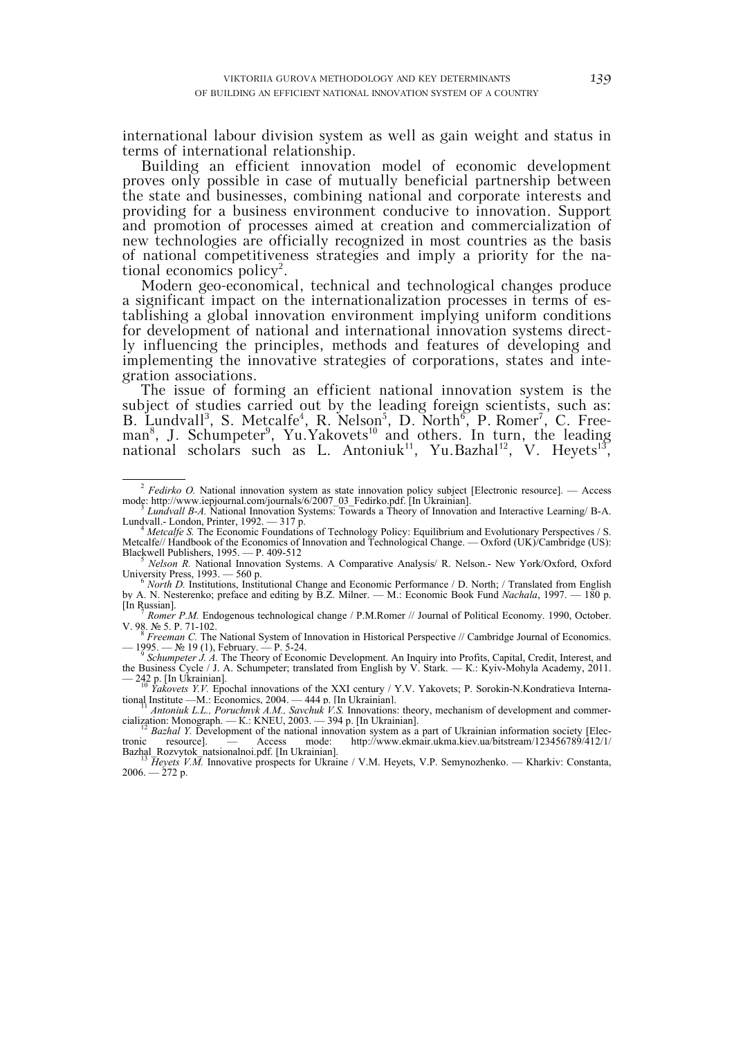international labour division system as well as gain weight and status in terms of international relationship.

Building an efficient innovation model of economic development proves only possible in case of mutually beneficial partnership between the state and businesses, combining national and corporate interests and providing for a business environment conducive to innovation. Support and promotion of processes aimed at creation and commercialization of new technologies are officially recognized in most countries as the basis of national competitiveness strategies and imply a priority for the national economics policy<sup>2</sup>.

Modern geo-economical, technical and technological changes produce a significant impact on the internationalization processes in terms of establishing a global innovation environment implying uniform conditions for development of national and international innovation systems directly influencing the principles, methods and features of developing and implementing the innovative strategies of corporations, states and integration associations.

The issue of forming an efficient national innovation system is the subject of studies carried out by the leading foreign scientists, such as: B. Lundvall<sup>3</sup>, S. Metcalfe<sup>4</sup>, R. Nelson<sup>5</sup>, D. North<sup>6</sup>, P. Romer<sup>7</sup>, C. Freeman<sup>8</sup>, J. Schumpeter<sup>9</sup>, Yu. Yakovets<sup>10</sup> and others. In turn, the leading national scholars such as L. Antoniuk<sup>11</sup>, Yu.Bazhal<sup>12</sup>, V. Heyets<sup>13</sup>,

the Business Cycle / J. A. Schumpeter; translated from English by V. Stark. — К.: Kyiv-Mohyla Academy, 2011. — 242 p. [In Ukrainian]. 10 *Yakovets Y.V.* Epochal innovations of the XXI century / Y.V. Yakovets; P. Sorokin-N.Kondratieva Interna-

tional Institute —M.: Economics, 2004. — 444 p. [In Ukrainian].<br><sup>11</sup> *Antoniuk L.L., Poruchnyk A.M., Savchuk V.S.* Innovations: theory, mechanism of development and commer-

<sup>&</sup>lt;sup>2</sup> *Fedirko O.* National innovation system as state innovation policy subject [Electronic resource]. — Access mode: http://www.iepjournal.com/journals/6/2007\_03\_Fedirko.pdf. [In Ukrainian]. 3 *Lundvall B-A.* National Innovation Systems: Towards a Theory of Innovation and Interactive Learning/ B-A.

Lundvall.- London, Printer, 1992. — 317 p. 4 *Metcalfe S.* The Economic Foundations of Technology Policy: Equilibrium and Evolutionary Perspectives / S.

Metcalfe// Handbook of the Economics of Innovation and Technological Change. — Oxford (UK)/Cambridge (US):

Blackwell Publishers, 1995. — P. 409-512<br>
<sup>5</sup> *Nelson R.* National Innovation Systems. A Comparative Analysis/ R. Nelson.- New York/Oxford, Oxford<br>
University Press, 1993. — 560 p.

North D. Institutions, Institutional Change and Economic Performance / D. North; / Translated from English by A. N. Nesterenko; preface and editing by B.Z. Milner. — М.: Economic Book Fund *Nachala*, 1997. — 180 p.

Romer P.M. Endogenous technological change / P.M.Romer // Journal of Political Economy. 1990, October. V. 98. № 5. P. 71-102.<br><sup>8</sup> *Freeman C*. The National System of Innovation in Historical Perspective // Cambridge Journal of Economics.

<sup>— 1995. —</sup> № 19 (1), February. — Р. 5-24. 9 *Schumpeter J. A.* The Theory of Economic Development. An Inquiry into Profits, Capital, Credit, Interest, and

cialization: Monograph. — K.: KNEU, 2003. — 394 p. [In Ukrainian].<br>
<sup>12</sup> *Bazhal Y*. Development of the national innovation system as a part of Ukrainian information society [Electronic resource]. — Access mode: http://www http://www.ekmair.ukma.kiev.ua/bitstream/123456789/412/1/

 $\overline{H}$ eyets V.M. Innovative prospects for Ukraine / V.M. Heyets, V.P. Semynozhenko. — Kharkiv: Constanta,  $2006. - 272$  p.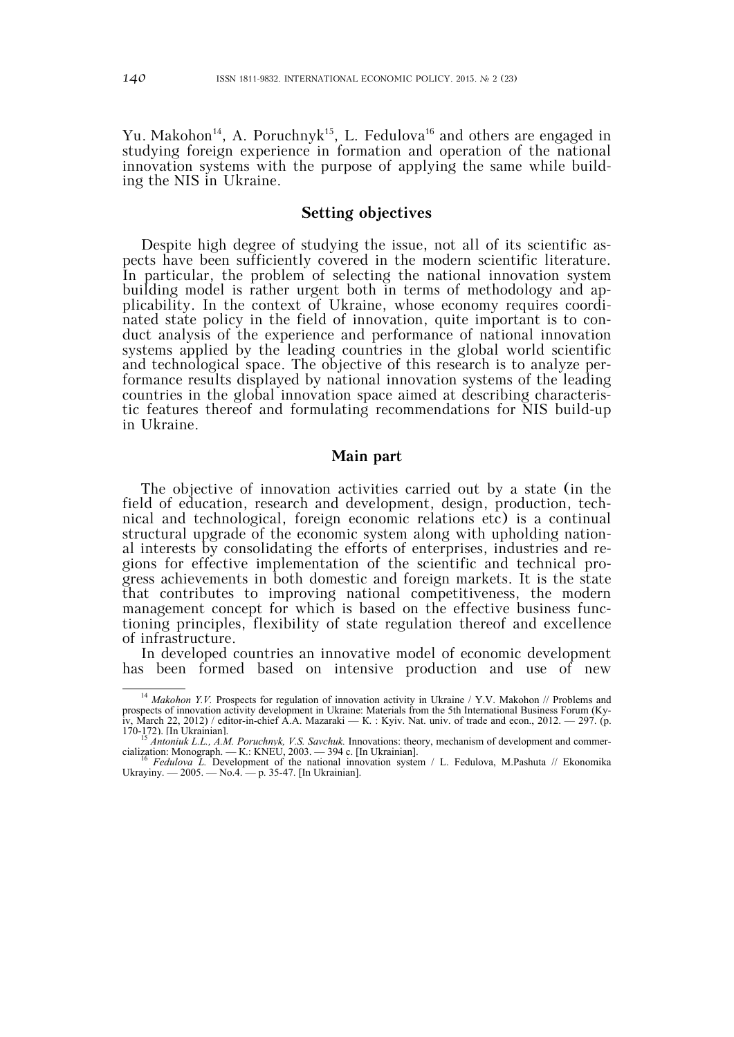Yu. Makohon<sup>14</sup>, A. Poruchnyk<sup>15</sup>, L. Fedulova<sup>16</sup> and others are engaged in studying foreign experience in formation and operation of the national innovation systems with the purpose of applying the same while building the NIS in Ukraine.

## **Setting objectives**

Despite high degree of studying the issue, not all of its scientific aspects have been sufficiently covered in the modern scientific literature. In particular, the problem of selecting the national innovation system building model is rather urgent both in terms of methodology and applicability. In the context of Ukraine, whose economy requires coordinated state policy in the field of innovation, quite important is to conduct analysis of the experience and performance of national innovation systems applied by the leading countries in the global world scientific and technological space. The objective of this research is to analyze performance results displayed by national innovation systems of the leading countries in the global innovation space aimed at describing characteristic features thereof and formulating recommendations for NIS build-up in Ukraine.

#### **Main part**

The objective of innovation activities carried out by a state (in the field of education, research and development, design, production, technical and technological, foreign economic relations etc) is a continual structural upgrade of the economic system along with upholding national interests by consolidating the efforts of enterprises, industries and regions for effective implementation of the scientific and technical progress achievements in both domestic and foreign markets. It is the state that contributes to improving national competitiveness, the modern management concept for which is based on the effective business functioning principles, flexibility of state regulation thereof and excellence of infrastructure.

In developed countries an innovative model of economic development has been formed based on intensive production and use of new

<sup>&</sup>lt;sup>14</sup> *Makohon Y.V.* Prospects for regulation of innovation activity in Ukraine / Y.V. Makohon // Problems and prospects of innovation activity development in Ukraine: Materials from the 5th International Business Forum (Kyiv, March 22, 2012) / editor-in-chief А.А. Mazaraki — К. : Kyiv. Nat. univ. of trade and econ., 2012. — 297. (p. 170-172). [In Ukrainian]. 15 *Antoniuk L.L., A.M. Poruchnyk, V.S. Savchuk.* Innovations: theory, mechanism of development and commer-

<sup>&</sup>lt;sup>15</sup> *Antoniuk L.L., A.M. Poruchnyk, V.S. Savchuk.* Innovations: theory, mechanism of development and commer-<br>cialization: Monograph. — K.: KNEU, 2003. — 394 c. [In Ukrainian].<br><sup>16</sup> *Fedulova L.* Development of the nationa

Ukrayiny. — 2005. — No.4. — p. 35-47. [In Ukrainian].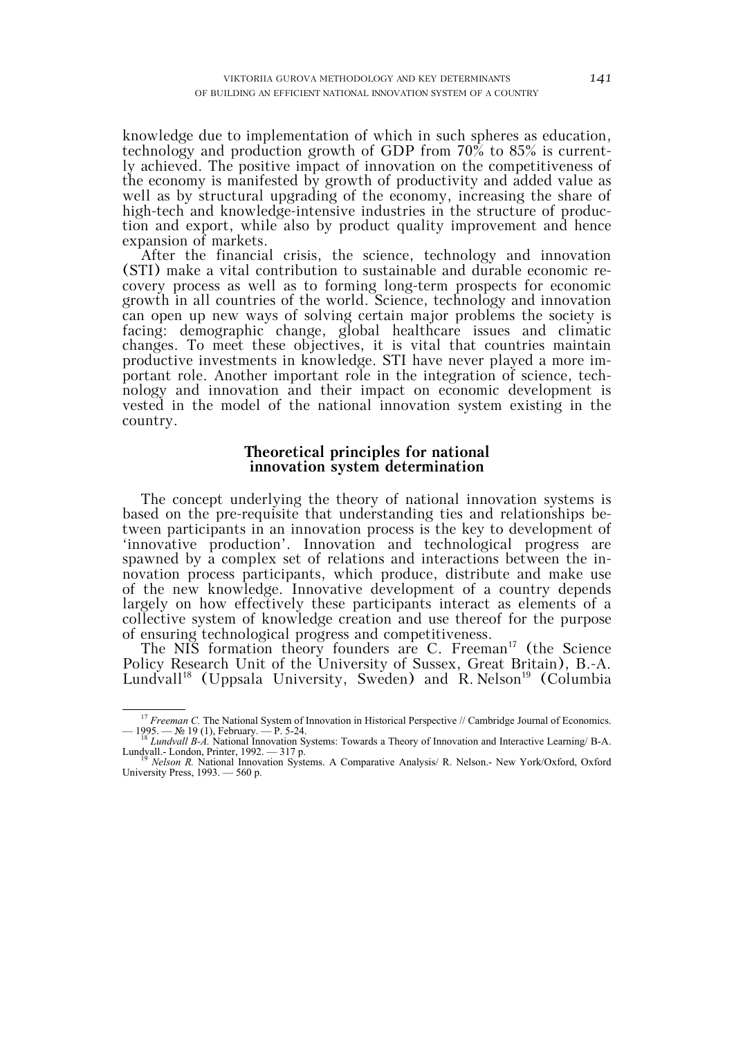knowledge due to implementation of which in such spheres as education, technology and production growth of GDP from 70% to 85% is currently achieved. The positive impact of innovation on the competitiveness of the economy is manifested by growth of productivity and added value as well as by structural upgrading of the economy, increasing the share of high-tech and knowledge-intensive industries in the structure of production and export, while also by product quality improvement and hence expansion of markets.

After the financial crisis, the science, technology and innovation (STI) make a vital contribution to sustainable and durable economic recovery process as well as to forming long-term prospects for economic growth in all countries of the world. Science, technology and innovation can open up new ways of solving certain major problems the society is facing: demographic change, global healthcare issues and climatic changes. To meet these objectives, it is vital that countries maintain productive investments in knowledge. STI have never played a more important role. Another important role in the integration of science, technology and innovation and their impact on economic development is vested in the model of the national innovation system existing in the country.

#### **Theoretical principles for national innovation system determination**

The concept underlying the theory of national innovation systems is based on the pre-requisite that understanding ties and relationships between participants in an innovation process is the key to development of 'innovative production'. Innovation and technological progress are spawned by a complex set of relations and interactions between the innovation process participants, which produce, distribute and make use of the new knowledge. Innovative development of a country depends largely on how effectively these participants interact as elements of a collective system of knowledge creation and use thereof for the purpose of ensuring technological progress and competitiveness.

The NIS formation theory founders are C. Freeman<sup>17</sup> (the Science Policy Research Unit of the University of Sussex, Great Britain), B.-A. Lundvall<sup>18</sup> (Uppsala University, Sweden) and R. Nelson<sup>19</sup> (Columbia

<sup>&</sup>lt;sup>17</sup> *Freeman C*. The National System of Innovation in Historical Perspective // Cambridge Journal of Economics. — 1995. — № 19 (1), February. — Р. 5-24. 18 *Lundvall B-A.* National Innovation Systems: Towards a Theory of Innovation and Interactive Learning/ B-A.

<sup>&</sup>lt;sup>18</sup> *Lundvall B-A.* National Innovation Systems: Towards a Theory of Innovation and Interactive Learning/ B-A. Lundvall.- London, Printer, 1992. — 317 p.<br><sup>19</sup> *Nelson R.* National Innovation Systems. A Comparative Analysi

University Press, 1993. — 560 p.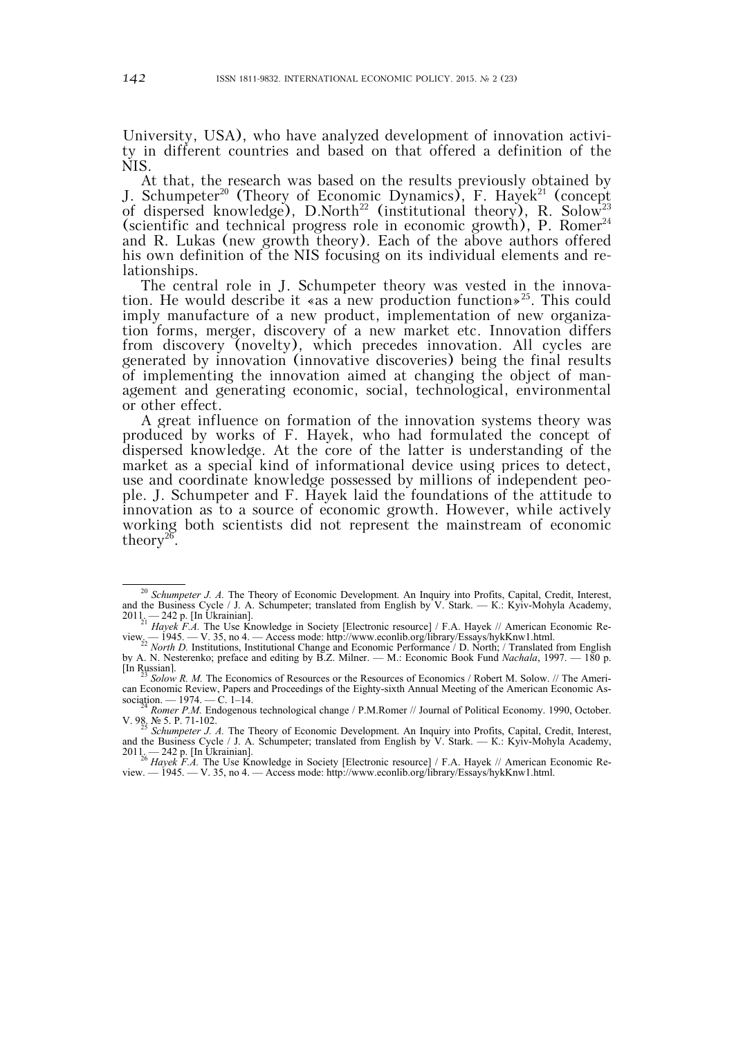University, USA), who have analyzed development of innovation activity in different countries and based on that offered a definition of the NIS.

At that, the research was based on the results previously obtained by J. Schumpeter<sup>20</sup> (Theory of Economic Dynamics), F. Hayek<sup>21</sup> (concept of dispersed knowledge), D.North<sup>22</sup> (institutional theory), R. Solow<sup>23</sup> (scientific and technical progress role in economic growth), P. Romer<sup>24</sup> and R. Lukas (new growth theory). Each of the above authors offered his own definition of the NIS focusing on its individual elements and relationships.

The central role in J. Schumpeter theory was vested in the innovation. He would describe it «as a new production function»<sup>25</sup>. This could imply manufacture of a new product, implementation of new organization forms, merger, discovery of a new market etc. Innovation differs from discovery (novelty), which precedes innovation. All cycles are generated by innovation (innovative discoveries) being the final results of implementing the innovation aimed at changing the object of management and generating economic, social, technological, environmental or other effect.

A great influence on formation of the innovation systems theory was produced by works of F. Hayek, who had formulated the concept of dispersed knowledge. At the core of the latter is understanding of the market as a special kind of informational device using prices to detect, use and coordinate knowledge possessed by millions of independent people. J. Schumpeter and F. Hayek laid the foundations of the attitude to innovation as to a source of economic growth. However, while actively working both scientists did not represent the mainstream of economic theory<sup>26</sup>.

<sup>&</sup>lt;sup>20</sup> *Schumpeter J. A.* The Theory of Economic Development. An Inquiry into Profits, Capital, Credit, Interest, and the Business Cycle / J. A. Schumpeter; translated from English by V. Stark. — К.: Kyiv-Mohyla Academy, 2011. — 242 p. [In Ukrainian]. 21 *Hayek F.A.* The Use Knowledge in Society [Electronic resource] / F.A. Hayek // American Economic Re-

view<sub>.</sub> — 1945. — V. 35, no 4. — Access mode: http://www.econlib.org/library/Essays/hykKnw1.html.<br><sup>22</sup> *North D.* Institutions, Institutional Change and Economic Performance / D. North; / Translated from English

by A. N. Nesterenko; preface and editing by B.Z. Milner. — М.: Economic Book Fund *Nachala*, 1997. — 180 p. [In Russian]. 23 *Solow R. M.* The Economics of Resources or the Resources of Economics / Robert M. Solow. // The Ameri-

can Economic Review, Papers and Proceedings of the Eighty-sixth Annual Meeting of the American Economic Association. — 1974. — C. 1–14.<br><sup>24</sup> *Romer P.M.* Endogenous technological change / P.M.Romer // Journal of Political Economy. 1990, October.

<sup>&</sup>lt;sup>24</sup> *Romer P.M.* Endogenous technological change / P.M.Romer // Journal of Political Economy. 1990, October. V. 98. № 5. P. 71-102.<br>V. 98. № 5. P. 71-102.<br>*Schumpeter J. A.* The Theory of Economic Development. An Inquiry

and the Business Cycle / J. A. Schumpeter; translated from English by V. Stark. — К.: Kyiv-Mohyla Academy, 2011. — 242 p. [In Ukrainian]. 26 *Hayek F.A.* The Use Knowledge in Society [Electronic resource] / F.A. Hayek // American Economic Re-

view. — 1945. — V. 35, nо 4. — Access mode: http://www.econlib.org/library/Essays/hykKnw1.html.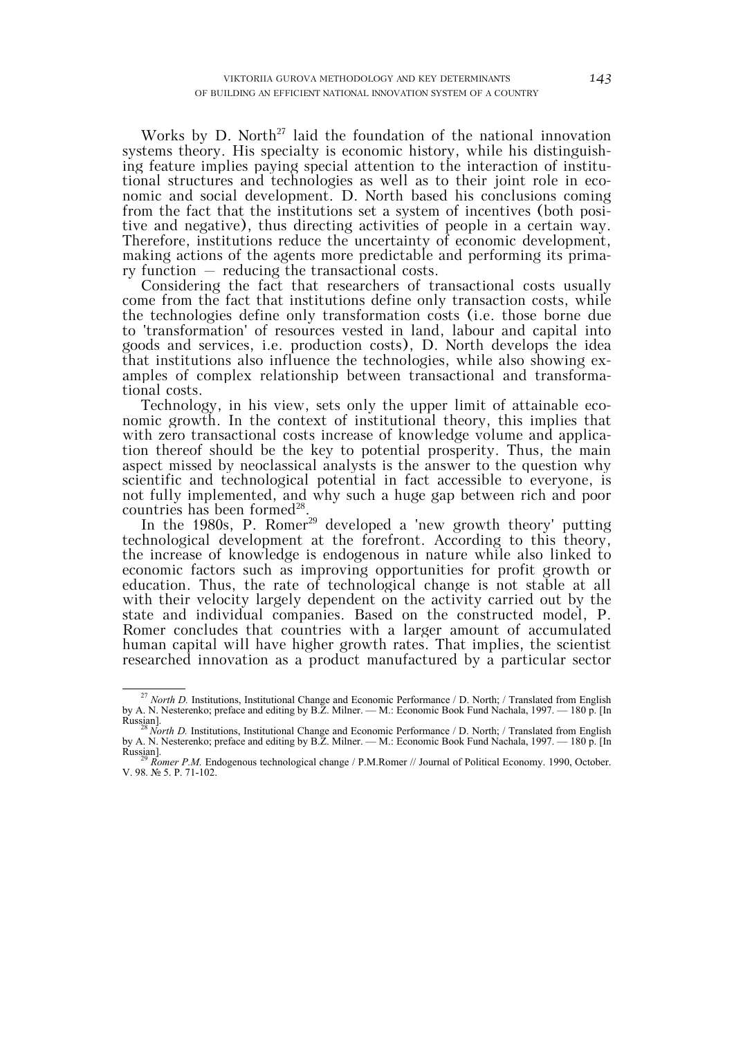Works by D. North $^{27}$  laid the foundation of the national innovation systems theory. His specialty is economic history, while his distinguishing feature implies paying special attention to the interaction of institutional structures and technologies as well as to their joint role in economic and social development. D. North based his conclusions coming from the fact that the institutions set a system of incentives (both positive and negative), thus directing activities of people in a certain way. Therefore, institutions reduce the uncertainty of economic development, making actions of the agents more predictable and performing its primary function – reducing the transactional costs.

Considering the fact that researchers of transactional costs usually come from the fact that institutions define only transaction costs, while the technologies define only transformation costs (i.e. those borne due to 'transformation' of resources vested in land, labour and capital into goods and services, i.e. production costs), D. North develops the idea that institutions also influence the technologies, while also showing examples of complex relationship between transactional and transformational costs.

Technology, in his view, sets only the upper limit of attainable economic growth. In the context of institutional theory, this implies that with zero transactional costs increase of knowledge volume and application thereof should be the key to potential prosperity. Thus, the main aspect missed by neoclassical analysts is the answer to the question why scientific and technological potential in fact accessible to everyone, is not fully implemented, and why such a huge gap between rich and poor countries has been formed<sup>28</sup>.

In the 1980s, P. Romer<sup>29</sup> developed a 'new growth theory' putting technological development at the forefront. According to this theory, the increase of knowledge is endogenous in nature while also linked to economic factors such as improving opportunities for profit growth or education. Thus, the rate of technological change is not stable at all with their velocity largely dependent on the activity carried out by the state and individual companies. Based on the constructed model, P. Romer concludes that countries with a larger amount of accumulated human capital will have higher growth rates. That implies, the scientist researched innovation as a product manufactured by a particular sector

<sup>&</sup>lt;sup>27</sup> *North D.* Institutions, Institutional Change and Economic Performance / D. North; / Translated from English by A. N. Nesterenko; preface and editing by B.Z. Milner. — М.: Economic Book Fund Nachala, 1997. — 180 p. [In

Russian].<br><sup>28</sup> *North D.* Institutions, Institutional Change and Economic Performance / D. North; / Translated from English by A. N. Nesterenko; preface and editing by B.Z. Milner. — М.: Economic Book Fund Nachala, 1997. — 180 p. [In

Russian]. <sup>29</sup> *Romer P.M.* Endogenous technological change / P.M.Romer // Journal of Political Economy. 1990, October. V. 98. № 5. P. 71-102.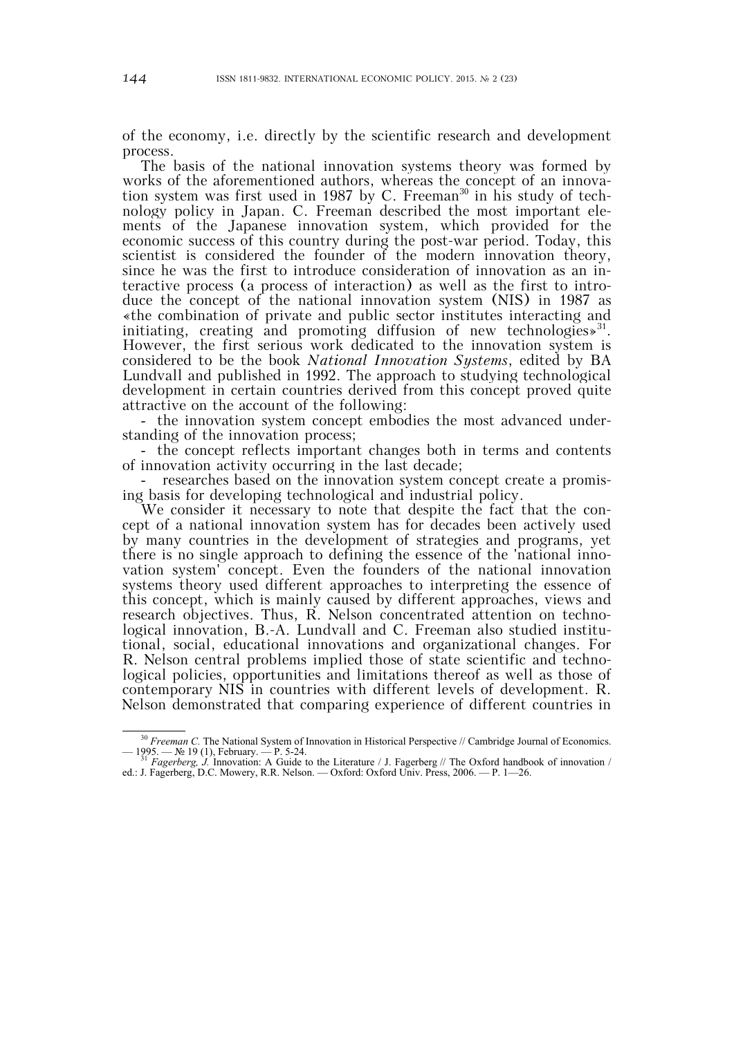of the economy, i.e. directly by the scientific research and development process.

The basis of the national innovation systems theory was formed by works of the aforementioned authors, whereas the concept of an innovation system was first used in 1987 by C. Freeman<sup>30</sup> in his study of technology policy in Japan. C. Freeman described the most important elements of the Japanese innovation system, which provided for the economic success of this country during the post-war period. Today, this scientist is considered the founder of the modern innovation theory, since he was the first to introduce consideration of innovation as an interactive process (a process of interaction) as well as the first to introduce the concept of the national innovation system (NIS) in 1987 as «the combination of private and public sector institutes interacting and initiating, creating and promoting diffusion of new technologies $\mathcal{S}^{31}$ . However, the first serious work dedicated to the innovation system is considered to be the book *National Innovation Systems*, edited by BA Lundvall and published in 1992. The approach to studying technological development in certain countries derived from this concept proved quite attractive on the account of the following:

- the innovation system concept embodies the most advanced understanding of the innovation process;

- the concept reflects important changes both in terms and contents of innovation activity occurring in the last decade;

researches based on the innovation system concept create a promising basis for developing technological and industrial policy.

We consider it necessary to note that despite the fact that the concept of a national innovation system has for decades been actively used by many countries in the development of strategies and programs, yet there is no single approach to defining the essence of the 'national innovation system' concept. Even the founders of the national innovation systems theory used different approaches to interpreting the essence of this concept, which is mainly caused by different approaches, views and research objectives. Thus, R. Nelson concentrated attention on technological innovation, B.-A. Lundvall and C. Freeman also studied institutional, social, educational innovations and organizational changes. For R. Nelson central problems implied those of state scientific and technological policies, opportunities and limitations thereof as well as those of contemporary NIS in countries with different levels of development. R. Nelson demonstrated that comparing experience of different countries in

<sup>&</sup>lt;sup>30</sup> *Freeman C*. The National System of Innovation in Historical Perspective // Cambridge Journal of Economics. — 1995. — № 19 (1), February. — Р. 5-24. 31 *Fagerberg, J.* Innovation: A Guide to the Literature / J. Fagerberg // The Oxford handbook of innovation /

ed.: J. Fagerberg, D.C. Mowery, R.R. Nelson. — Oxford: Oxford Univ. Press, 2006. — Р. 1—26.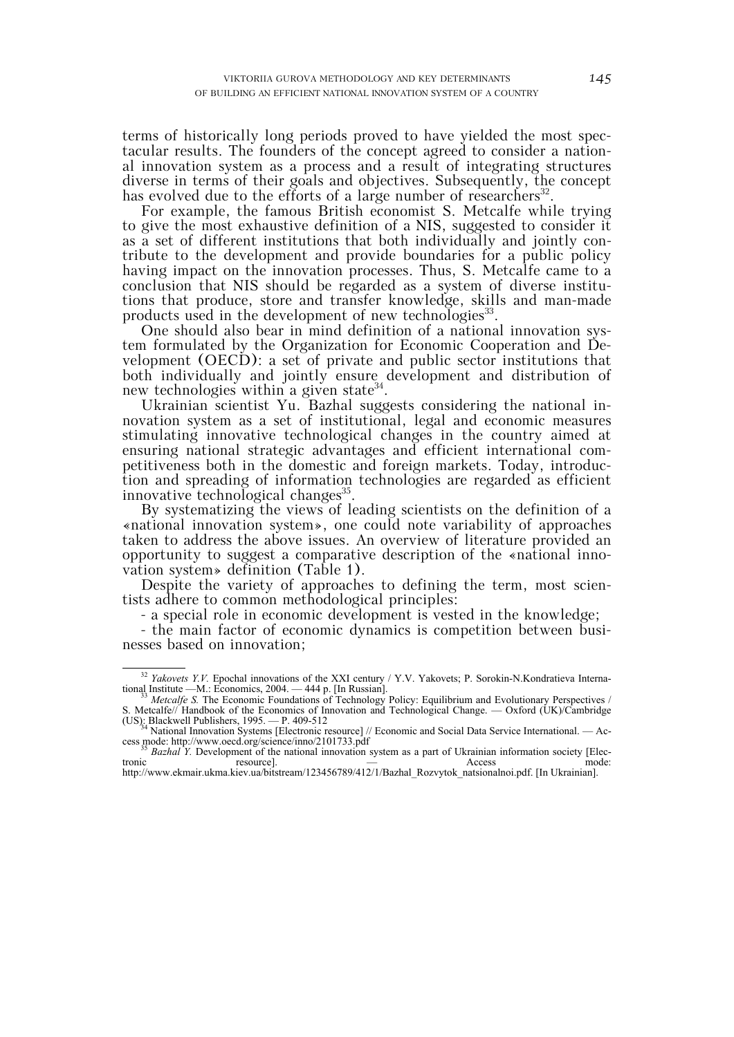terms of historically long periods proved to have yielded the most spectacular results. The founders of the concept agreed to consider a national innovation system as a process and a result of integrating structures diverse in terms of their goals and objectives. Subsequently, the concept has evolved due to the efforts of a large number of researchers<sup>32</sup>.

For example, the famous British economist S. Metcalfe while trying to give the most exhaustive definition of a NIS, suggested to consider it as a set of different institutions that both individually and jointly contribute to the development and provide boundaries for a public policy having impact on the innovation processes. Thus, S. Metcalfe came to a conclusion that NIS should be regarded as a system of diverse institutions that produce, store and transfer knowledge, skills and man-made products used in the development of new technologies<sup>33</sup>.

One should also bear in mind definition of a national innovation system formulated by the Organization for Economic Cooperation and Development (OECD): a set of private and public sector institutions that both individually and jointly ensure development and distribution of new technologies within a given state<sup>34</sup>.

Ukrainian scientist Yu. Bazhal suggests considering the national innovation system as a set of institutional, legal and economic measures stimulating innovative technological changes in the country aimed at ensuring national strategic advantages and efficient international competitiveness both in the domestic and foreign markets. Today, introduction and spreading of information technologies are regarded as efficient innovative technological changes<sup>35</sup>.

By systematizing the views of leading scientists on the definition of a «national innovation system», one could note variability of approaches taken to address the above issues. An overview of literature provided an opportunity to suggest a comparative description of the «national innovation system» definition (Table 1).

Despite the variety of approaches to defining the term, most scientists adhere to common methodological principles:

- a special role in economic development is vested in the knowledge;

- the main factor of economic dynamics is competition between businesses based on innovation;

<sup>&</sup>lt;sup>32</sup> *Yakovets Y.V.* Epochal innovations of the XXI century / Y.V. Yakovets; P. Sorokin-N.Kondratieva International Institute —M.: Economics, 2004. — 444 p. [In Russian].<br><sup>33</sup> *Metcalfe S.* The Economic Foundations of Technology Policy: Equilibrium and Evolutionary Perspectives /

S. Metcalfe// Handbook of the Economics of Innovation and Technological Change. — Oxford (UK)/Cambridge

<sup>(</sup>US): Blackwell Publishers, 1995. — P. 409-512<br><sup>34</sup> National Innovation Systems [Electronic resource] // Economic and Social Data Service International. — Ac-<br>cess mode: http://www.oecd.org/science/inno/2101733.pdf

<sup>&</sup>lt;sup>35</sup> *Bazhal Y.* Development of the national innovation system as a part of Ukrainian information society [Electronic resource].  $\frac{1}{100}$  Access mode: tronic resource]. — Access mode:

http://www.ekmair.ukma.kiev.ua/bitstream/123456789/412/1/Bazhal\_Rozvytok\_natsionalnoi.pdf. [In Ukrainian].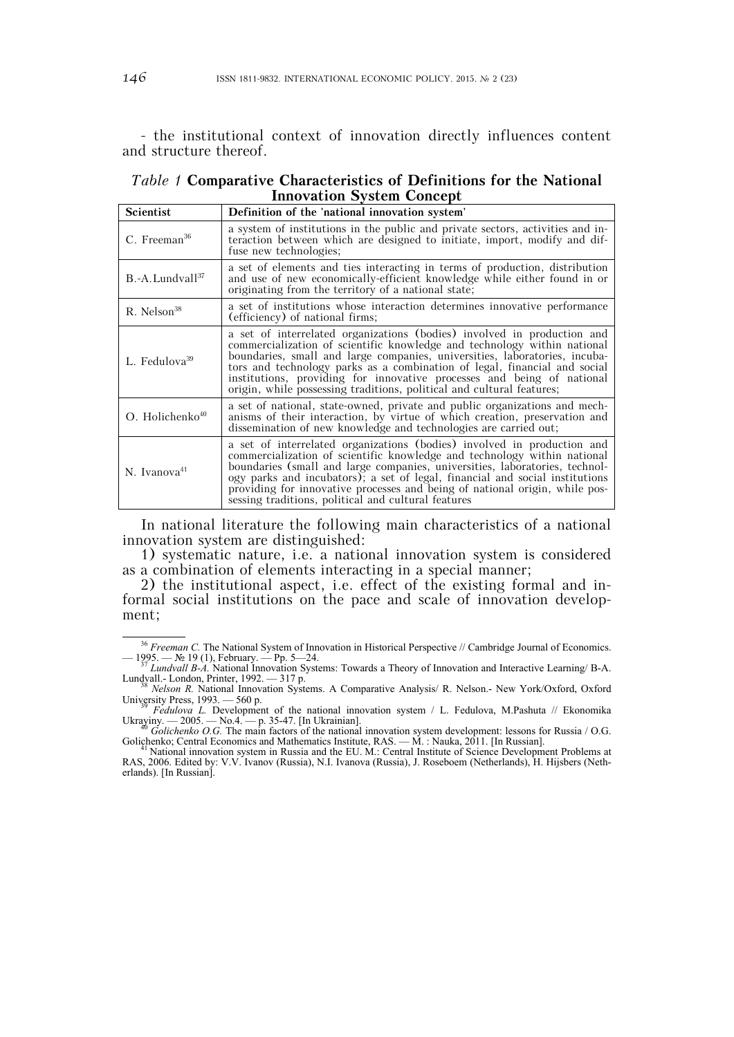- the institutional context of innovation directly influences content and structure thereof.

|                                  | <i>Table 1</i> Comparative Characteristics of Definitions for the National |  |  |  |  |
|----------------------------------|----------------------------------------------------------------------------|--|--|--|--|
| <b>Innovation System Concept</b> |                                                                            |  |  |  |  |
| .                                |                                                                            |  |  |  |  |

| Scientist                     | Definition of the 'national innovation system'                                                                                                                                                                                                                                                                                                                                                                                                                    |  |  |
|-------------------------------|-------------------------------------------------------------------------------------------------------------------------------------------------------------------------------------------------------------------------------------------------------------------------------------------------------------------------------------------------------------------------------------------------------------------------------------------------------------------|--|--|
| C. Freeman <sup>36</sup>      | a system of institutions in the public and private sectors, activities and in-<br>teraction between which are designed to initiate, import, modify and dif-<br>fuse new technologies;                                                                                                                                                                                                                                                                             |  |  |
| B.-A.Lundvall <sup>37</sup>   | a set of elements and ties interacting in terms of production, distribution<br>and use of new economically-efficient knowledge while either found in or<br>originating from the territory of a national state;                                                                                                                                                                                                                                                    |  |  |
| $R.$ Nelson <sup>38</sup>     | a set of institutions whose interaction determines innovative performance<br>(efficiency) of national firms;                                                                                                                                                                                                                                                                                                                                                      |  |  |
| L. Fedulova <sup>39</sup>     | a set of interrelated organizations (bodies) involved in production and<br>commercialization of scientific knowledge and technology within national<br>boundaries, small and large companies, universities, laboratories, incuba-<br>tors and technology parks as a combination of legal, financial and social<br>institutions, providing for innovative processes and being of national<br>origin, while possessing traditions, political and cultural features; |  |  |
| $O.$ Holichenko <sup>40</sup> | a set of national, state-owned, private and public organizations and mech-<br>anisms of their interaction, by virtue of which creation, preservation and<br>dissemination of new knowledge and technologies are carried out;                                                                                                                                                                                                                                      |  |  |
| N. Ivanova <sup>41</sup>      | a set of interrelated organizations (bodies) involved in production and<br>commercialization of scientific knowledge and technology within national<br>boundaries (small and large companies, universities, laboratories, technol-<br>ogy parks and incubators); a set of legal, financial and social institutions<br>providing for innovative processes and being of national origin, while pos-<br>sessing traditions, political and cultural features          |  |  |

In national literature the following main characteristics of a national innovation system are distinguished:

1) systematic nature, i.e. a national innovation system is considered as a combination of elements interacting in a special manner;

2) the institutional aspect, i.e. effect of the existing formal and informal social institutions on the pace and scale of innovation development;

<sup>&</sup>lt;sup>36</sup> *Freeman C*. The National System of Innovation in Historical Perspective // Cambridge Journal of Economics. — 1995. — № 19 (1), February. — Рр. 5—24. 37 *Lundvall B-A.* National Innovation Systems: Towards a Theory of Innovation and Interactive Learning/ B-A.

Lundvall.- London, Printer, 1992. — 317 p.<br>
Shelson R. National Innovation Systems. A Comparative Analysis/ R. Nelson.- New York/Oxford, Oxford<br>
University Press, 1993. — 560 p. University Press, 1993. — 560 p.<br><sup>39</sup> *Fedulova L.* Development of the national innovation system / L. Fedulova, M.Pashuta // Ekonomika

Ukrayiny. — 2005. — No.4. — p. 35-47. [In Ukrainian].<br><sup>40</sup> *Golichenko O.G.* The main factors of the national innovation system development: lessons for Russia / O.G.

Golichenko; Central Economics and Mathematics Institute, RAS. — М. : Nauka, 2011. [In Russian]. 41 National innovation system in Russia and the EU. М.: Central Institute of Science Development Problems at

RAS, 2006. Edited by: V.V. Ivanov (Russia), N.I. Ivanova (Russia), J. Roseboem (Netherlands), H. Hijsbers (Netherlands). [In Russian].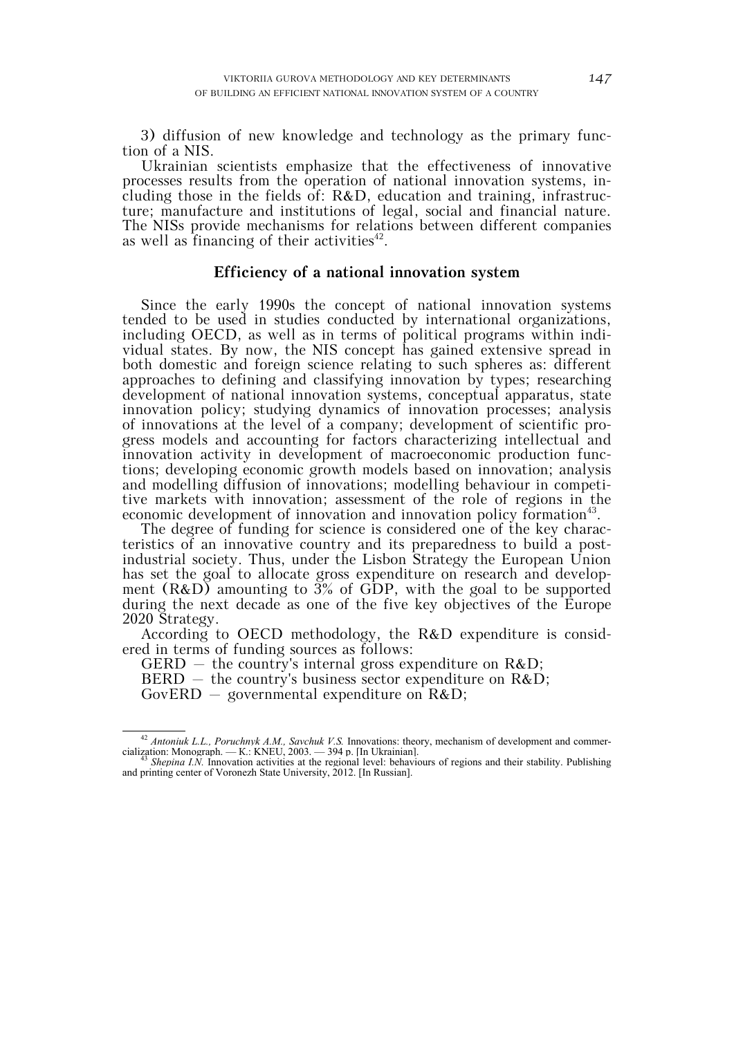3) diffusion of new knowledge and technology as the primary function of a NIS.

Ukrainian scientists emphasize that the effectiveness of innovative processes results from the operation of national innovation systems, including those in the fields of: R&D, education and training, infrastructure; manufacture and institutions of legal, social and financial nature. The NISs provide mechanisms for relations between different companies as well as financing of their activities<sup>42</sup>.

#### **Efficiency of a national innovation system**

Since the early 1990s the concept of national innovation systems tended to be used in studies conducted by international organizations, including OECD, as well as in terms of political programs within individual states. By now, the NIS concept has gained extensive spread in both domestic and foreign science relating to such spheres as: different approaches to defining and classifying innovation by types; researching development of national innovation systems, conceptual apparatus, state innovation policy; studying dynamics of innovation processes; analysis of innovations at the level of a company; development of scientific progress models and accounting for factors characterizing intellectual and innovation activity in development of macroeconomic production functions; developing economic growth models based on innovation; analysis and modelling diffusion of innovations; modelling behaviour in competitive markets with innovation; assessment of the role of regions in the economic development of innovation and innovation policy formation<sup>43</sup>.

The degree of funding for science is considered one of the key characteristics of an innovative country and its preparedness to build a postindustrial society. Thus, under the Lisbon Strategy the European Union has set the goal to allocate gross expenditure on research and development (R&D) amounting to 3% of GDP, with the goal to be supported during the next decade as one of the five key objectives of the Europe 2020 Strategy.

According to OECD methodology, the R&D expenditure is considered in terms of funding sources as follows:

GERD – the country's internal gross expenditure on  $R&D$ ;

 $BERD -$  the country's business sector expenditure on  $R&D$ ;

 $GovERD$  – governmental expenditure on  $R&D$ ;

<sup>&</sup>lt;sup>42</sup> *Antoniuk L.L., Poruchnyk A.M., Savchuk V.S.* Innovations: theory, mechanism of development and commercialization: Monograph. — К.: KNEU, 2003. — 394 p. [In Ukrainian]. 43 *Shepina I.N.* Innovation activities at the regional level: behaviours of regions and their stability. Publishing

and printing center of Voronezh State University, 2012. [In Russian].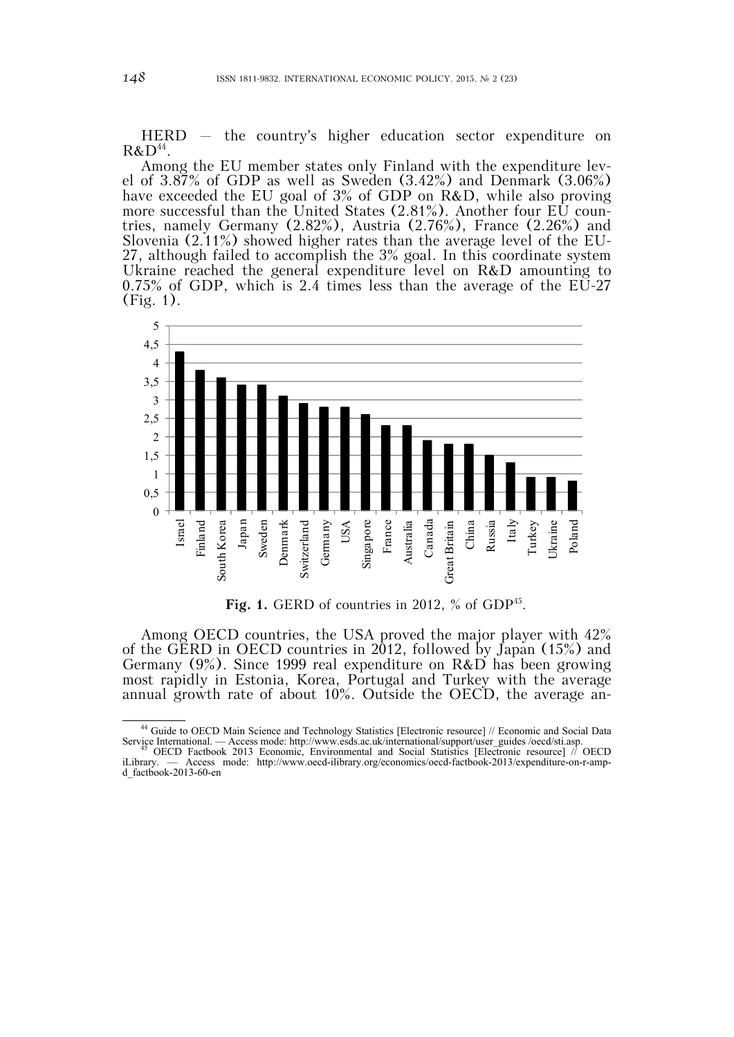HERD – the country's higher education sector expenditure on  $R&D^{44}$ .

Among the EU member states only Finland with the expenditure level of 3.87% of GDP as well as Sweden (3.42%) and Denmark (3.06%) have exceeded the EU goal of 3% of GDP on R&D, while also proving more successful than the United States (2.81%). Another four EU countries, namely Germany (2.82%), Austria (2.76%), France (2.26%) and Slovenia (2.11%) showed higher rates than the average level of the EU-27, although failed to accomplish the 3% goal. In this coordinate system Ukraine reached the general expenditure level on R&D amounting to 0.75% of GDP, which is 2.4 times less than the average of the EU-27 (Fig. 1).



Fig. 1. GERD of countries in 2012, % of GDP<sup>45</sup>.

Among OECD countries, the USA proved the major player with 42% of the GERD in OECD countries in 2012, followed by Japan (15%) and Germany (9%). Since 1999 real expenditure on R&D has been growing most rapidly in Estonia, Korea, Portugal and Turkey with the average annual growth rate of about 10%. Outside the OECD, the average an-

 <sup>44</sup> Guide to OECD Main Science and Technology Statistics [Electronic resource] // Economic and Social Data Service International. — Access mode: http://www.esds.ac.uk/international/support/user\_guides /oecd/sti.asp. 45 OECD Factbook 2013 Economic, Environmental and Social Statistics [Electronic resource] // OECD

iLibrary. — Access mode: http://www.oecd-ilibrary.org/economics/oecd-factbook-2013/expenditure-on-r-ampd\_factbook-2013-60-en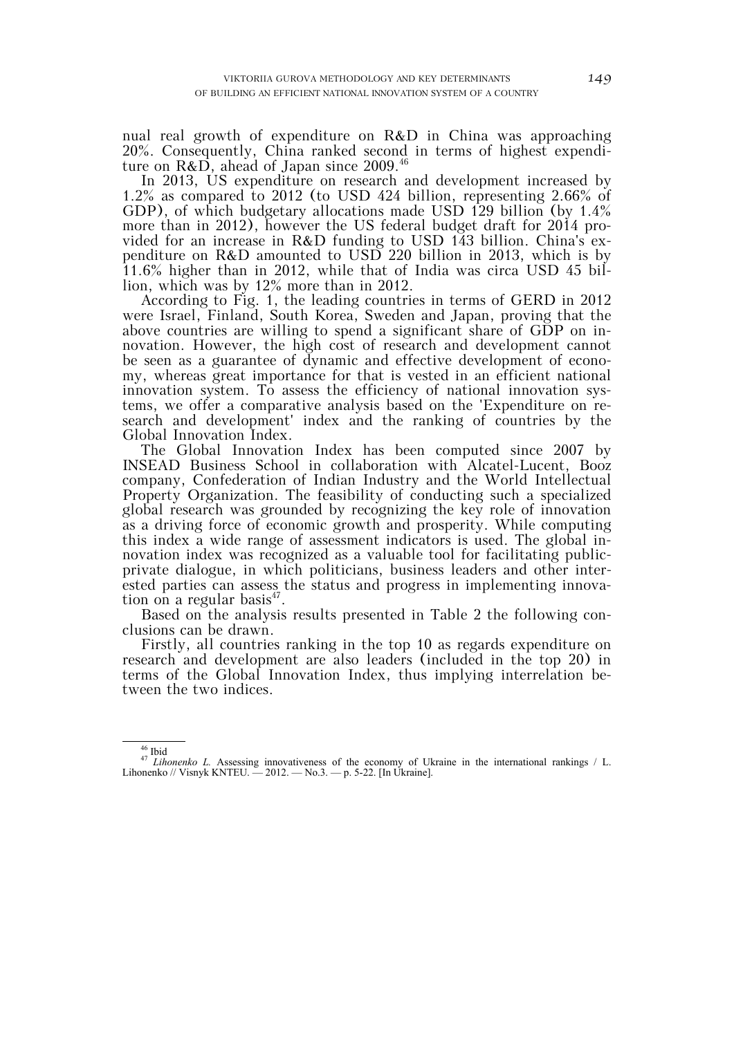nual real growth of expenditure on R&D in China was approaching 20%. Consequently, China ranked second in terms of highest expenditure on  $R&D$ , ahead of Japan since 2009.<sup>46</sup>

In 2013, US expenditure on research and development increased by 1.2% as compared to 2012 (to USD 424 billion, representing 2.66% of GDP), of which budgetary allocations made USD 129 billion (by 1.4% more than in 2012), however the US federal budget draft for 2014 provided for an increase in R&D funding to USD 143 billion. China's expenditure on R&D amounted to USD 220 billion in 2013, which is by 11.6% higher than in 2012, while that of India was circa USD 45 billion, which was by 12% more than in 2012.

According to Fig. 1, the leading countries in terms of GERD in 2012 were Israel, Finland, South Korea, Sweden and Japan, proving that the above countries are willing to spend a significant share of GDP on innovation. However, the high cost of research and development cannot be seen as a guarantee of dynamic and effective development of economy, whereas great importance for that is vested in an efficient national innovation system. To assess the efficiency of national innovation systems, we offer a comparative analysis based on the 'Expenditure on research and development' index and the ranking of countries by the Global Innovation Index.

The Global Innovation Index has been computed since 2007 by INSEAD Business School in collaboration with Alcatel-Lucent, Booz company, Confederation of Indian Industry and the World Intellectual Property Organization. The feasibility of conducting such a specialized global research was grounded by recognizing the key role of innovation as a driving force of economic growth and prosperity. While computing this index a wide range of assessment indicators is used. The global innovation index was recognized as a valuable tool for facilitating publicprivate dialogue, in which politicians, business leaders and other interested parties can assess the status and progress in implementing innovation on a regular basis<sup>47</sup>.

Based on the analysis results presented in Table 2 the following conclusions can be drawn.

Firstly, all countries ranking in the top 10 as regards expenditure on research and development are also leaders (included in the top 20) in terms of the Global Innovation Index, thus implying interrelation between the two indices.

<sup>&</sup>lt;sup>46</sup> Ibid<br><sup>47</sup> *Lihonenko L.* Assessing innovativeness of the economy of Ukraine in the international rankings / L. Lihonenko // Visnyk KNTEU. — 2012. — No.3. — p. 5-22. [In Ukraine].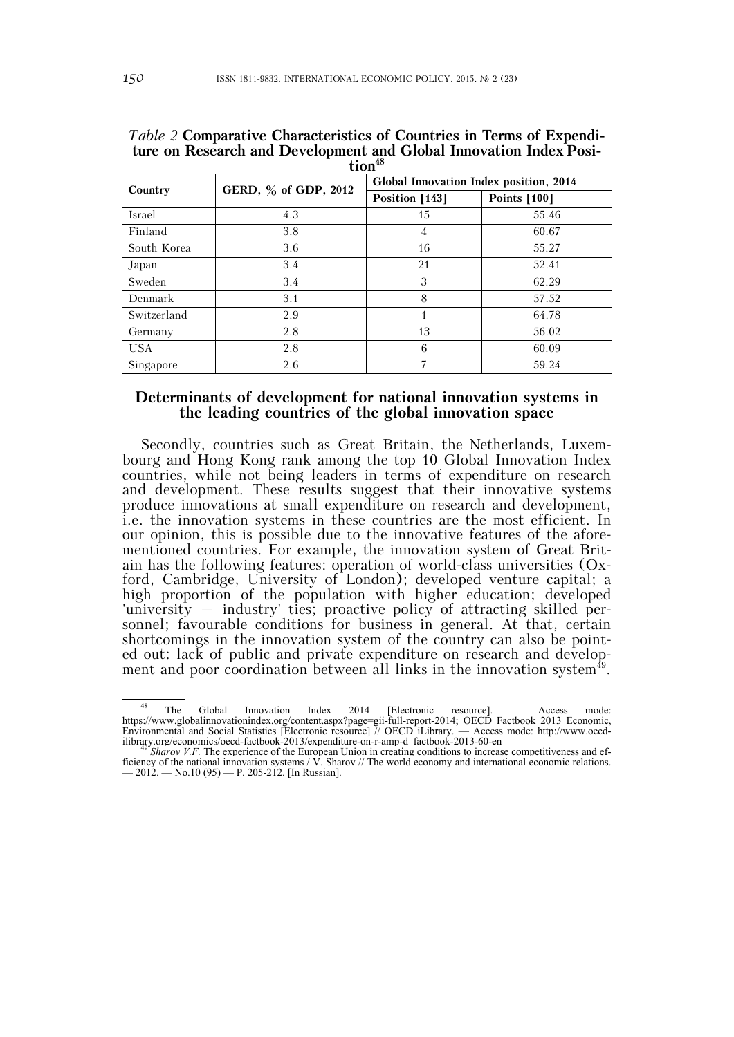| Country     | GERD, % of GDP, 2012 | Global Innovation Index position, 2014 |                     |
|-------------|----------------------|----------------------------------------|---------------------|
|             |                      | Position [143]                         | <b>Points</b> [100] |
| Israel      | 4.3                  | 15                                     | 55.46               |
| Finland     | 3.8                  | 4                                      | 60.67               |
| South Korea | 3.6                  | 16                                     | 55.27               |
| Japan       | 3.4                  | 21                                     | 52.41               |
| Sweden      | 3.4                  | 3                                      | 62.29               |
| Denmark     | 3.1                  | 8                                      | 57.52               |
| Switzerland | 2.9                  |                                        | 64.78               |
| Germany     | 2.8                  | 13                                     | 56.02               |
| <b>USA</b>  | 2.8                  | 6                                      | 60.09               |
| Singapore   | 2.6                  | 7                                      | 59.24               |

*Table 2* **Comparative Characteristics of Countries in Terms of Expenditure on Research and Development and Global Innovation Index Position48**

# **Determinants of development for national innovation systems in the leading countries of the global innovation space**

Secondly, countries such as Great Britain, the Netherlands, Luxembourg and Hong Kong rank among the top 10 Global Innovation Index countries, while not being leaders in terms of expenditure on research and development. These results suggest that their innovative systems produce innovations at small expenditure on research and development, i.e. the innovation systems in these countries are the most efficient. In our opinion, this is possible due to the innovative features of the aforementioned countries. For example, the innovation system of Great Britain has the following features: operation of world-class universities (Oxford, Cambridge, University of London); developed venture capital; a high proportion of the population with higher education; developed 'university – industry' ties; proactive policy of attracting skilled personnel; favourable conditions for business in general. At that, certain shortcomings in the innovation system of the country can also be pointed out: lack of public and private expenditure on research and development and poor coordination between all links in the innovation system<sup>49</sup>.

<sup>&</sup>lt;sup>48</sup> The Global Innovation Index 2014 [Electronic resource]. — Access mode: https://www.globalinnovationindex.org/content.aspx?page=gii-full-report-2014; OECD Factbook 2013 Economic, Environmental and Social Statistics [Electronic resource] // OECD iLibrary. — Access mode: http://www.oecd-

ilibrary.org/economics/oecd-factbook-2013/expenditure-on-r-amp-d\_factbook-2013-60-en<br><sup>49</sup> *Sharov V.F.* The experience of the European Union in creating conditions to increase competitiveness and ef-<sup>49</sup> Sharov V.F. The experience of the European Union in creating conditions to increase competitiveness and efficiency of the national innovation systems / V. Sharov // The world economy and international economic relati  $-2012.$   $-$  No.10 (95)  $-$  P. 205-212. [In Russian].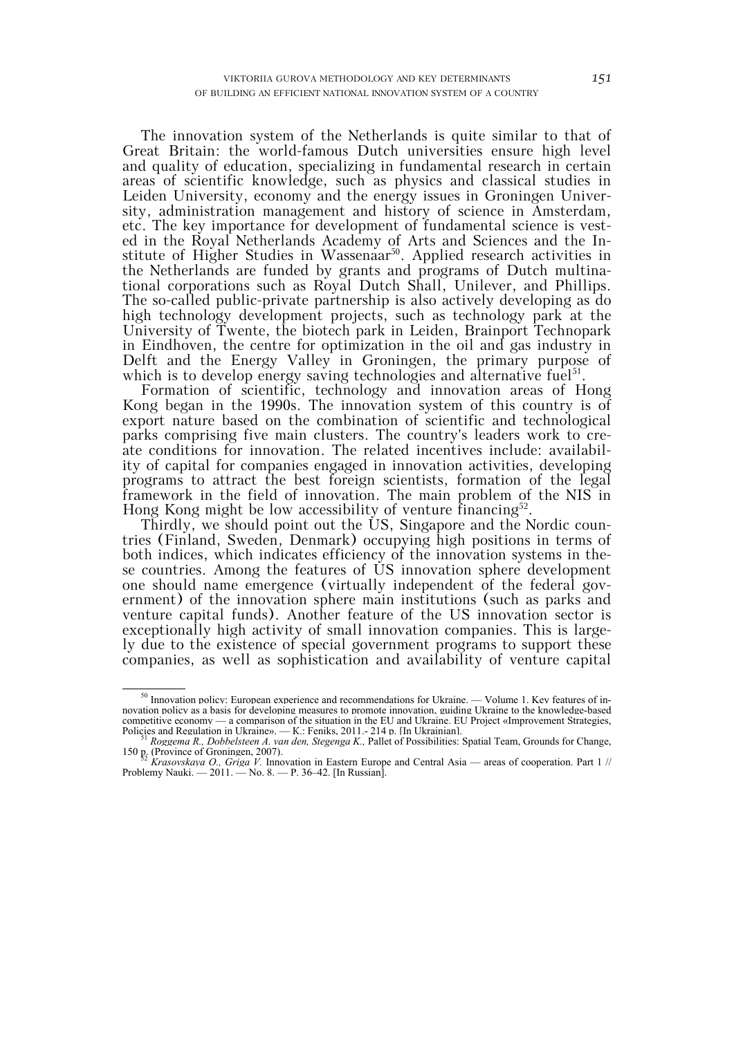The innovation system of the Netherlands is quite similar to that of Great Britain: the world-famous Dutch universities ensure high level and quality of education, specializing in fundamental research in certain areas of scientific knowledge, such as physics and classical studies in Leiden University, economy and the energy issues in Groningen University, administration management and history of science in Amsterdam, etc. The key importance for development of fundamental science is vested in the Royal Netherlands Academy of Arts and Sciences and the Institute of Higher Studies in Wassenaar<sup>50</sup>. Applied research activities in the Netherlands are funded by grants and programs of Dutch multinational corporations such as Royal Dutch Shall, Unilever, and Phillips. The so-called public-private partnership is also actively developing as do high technology development projects, such as technology park at the University of Twente, the biotech park in Leiden, Brainport Technopark in Eindhoven, the centre for optimization in the oil and gas industry in Delft and the Energy Valley in Groningen, the primary purpose of which is to develop energy saving technologies and alternative fuel<sup>51</sup>.

Formation of scientific, technology and innovation areas of Hong Kong began in the 1990s. The innovation system of this country is of export nature based on the combination of scientific and technological parks comprising five main clusters. The country's leaders work to create conditions for innovation. The related incentives include: availability of capital for companies engaged in innovation activities, developing programs to attract the best foreign scientists, formation of the legal framework in the field of innovation. The main problem of the NIS in Hong Kong might be low accessibility of venture financing $52$ .

Thirdly, we should point out the US, Singapore and the Nordic countries (Finland, Sweden, Denmark) occupying high positions in terms of both indices, which indicates efficiency of the innovation systems in these countries. Among the features of US innovation sphere development one should name emergence (virtually independent of the federal government) of the innovation sphere main institutions (such as parks and venture capital funds). Another feature of the US innovation sector is exceptionally high activity of small innovation companies. This is largely due to the existence of special government programs to support these companies, as well as sophistication and availability of venture capital

 $50$  Innovation policy: European experience and recommendations for Ukraine. — Volume 1. Key features of innovation policy as a basis for developing measures to promote innovation, guiding Ukraine to the knowledge-based competitive economy — a comparison of the situation in the EU and Ukraine. EU Project «Improvement Strategies,

Policies and Regulation in Ukraine». — К.: Feniks, 2011.- 214 p. [In Ukrainian]. 51 *Roggema R., Dobbelsteen A. van den, Stegenga K.,* Pallet of Possibilities: Spatial Team, Grounds for Change, <sup>51</sup> Roggema R., Dobbelsteen A. van den, Stegenga K., Pallet of Possibilities: Spatial Team, Grounds for Change, 150 p. (Province of Groningen, 2007).<br><sup>52</sup> *Krasovskaya O., Griga V.* Innovation in Eastern Europe and Centra

Problemy Nauki. — 2011. — No. 8. — P. 36–42. [In Russian].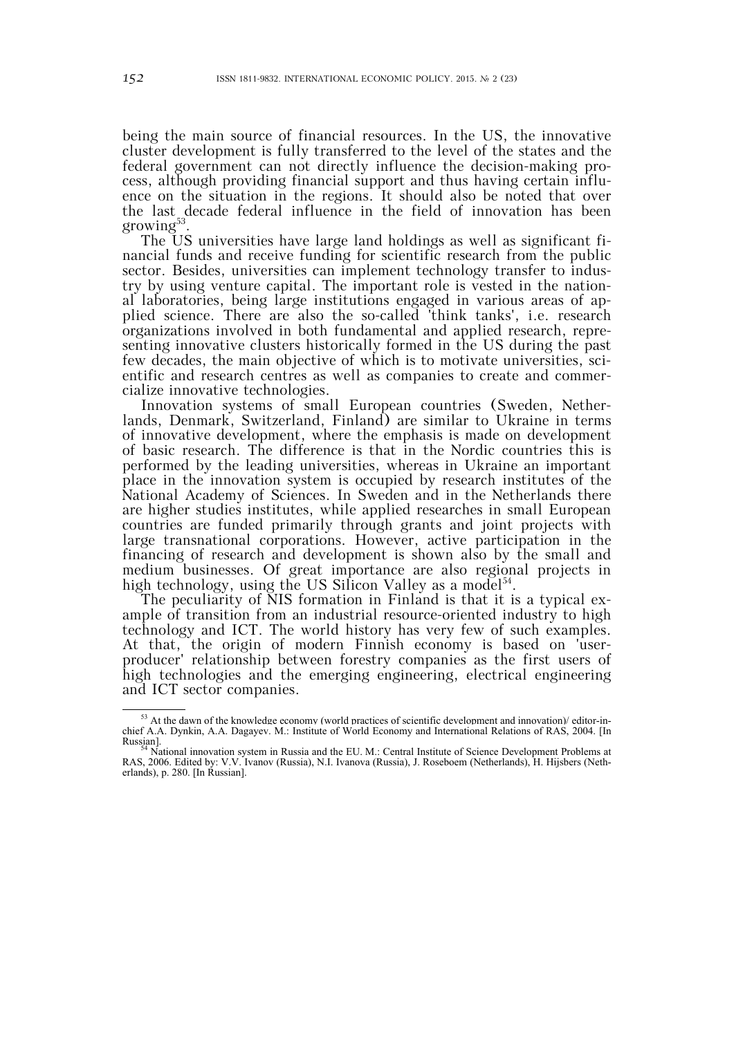being the main source of financial resources. In the US, the innovative cluster development is fully transferred to the level of the states and the federal government can not directly influence the decision-making process, although providing financial support and thus having certain influence on the situation in the regions. It should also be noted that over the last decade federal influence in the field of innovation has been growing<sup>53</sup>.

The US universities have large land holdings as well as significant financial funds and receive funding for scientific research from the public sector. Besides, universities can implement technology transfer to industry by using venture capital. The important role is vested in the national laboratories, being large institutions engaged in various areas of applied science. There are also the so-called 'think tanks', i.e. research organizations involved in both fundamental and applied research, representing innovative clusters historically formed in the US during the past few decades, the main objective of which is to motivate universities, scientific and research centres as well as companies to create and commercialize innovative technologies.

Innovation systems of small European countries (Sweden, Netherlands, Denmark, Switzerland, Finland) are similar to Ukraine in terms of innovative development, where the emphasis is made on development of basic research. The difference is that in the Nordic countries this is performed by the leading universities, whereas in Ukraine an important place in the innovation system is occupied by research institutes of the National Academy of Sciences. In Sweden and in the Netherlands there are higher studies institutes, while applied researches in small European countries are funded primarily through grants and joint projects with large transnational corporations. However, active participation in the financing of research and development is shown also by the small and medium businesses. Of great importance are also regional projects in high technology, using the US Silicon Valley as a model<sup>54</sup>.

The peculiarity of NIS formation in Finland is that it is a typical example of transition from an industrial resource-oriented industry to high technology and ICT. The world history has very few of such examples. At that, the origin of modern Finnish economy is based on 'userproducer' relationship between forestry companies as the first users of high technologies and the emerging engineering, electrical engineering and ICT sector companies.

 $\frac{53}{100}$  At the dawn of the knowledge economy (world practices of scientific development and innovation)/ editor-inchief A.A. Dynkin, A.A. Dagayev. М.: Institute of World Economy and International Relations of RAS, 2004. [In

Russian].<br><sup>54</sup> National innovation system in Russia and the EU. M.: Central Institute of Science Development Problems at National Institute of Science Development Problems at National Institute of Science Development Probl RAS, 2006. Edited by: V.V. Ivanov (Russia), N.I. Ivanova (Russia), J. Roseboem (Netherlands), H. Hijsbers (Netherlands), p. 280. [In Russian].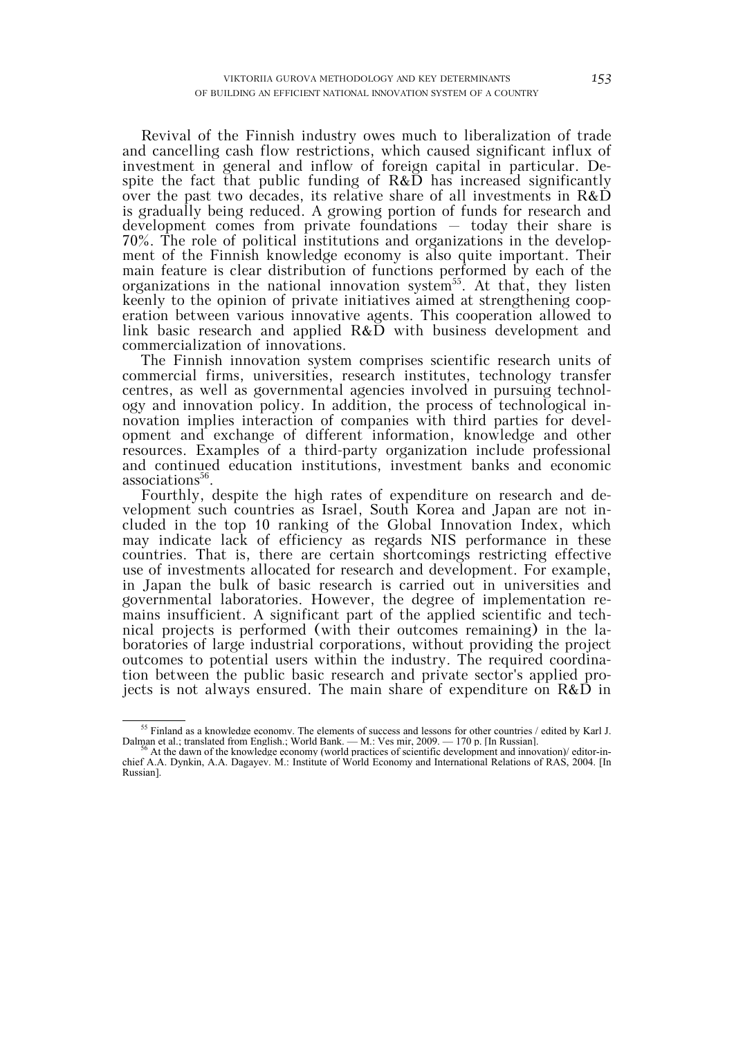Revival of the Finnish industry owes much to liberalization of trade and cancelling cash flow restrictions, which caused significant influx of investment in general and inflow of foreign capital in particular. Despite the fact that public funding of  $R&D$  has increased significantly over the past two decades, its relative share of all investments in R&D is gradually being reduced. A growing portion of funds for research and development comes from private foundations – today their share is 70%. The role of political institutions and organizations in the development of the Finnish knowledge economy is also quite important. Their main feature is clear distribution of functions performed by each of the organizations in the national innovation system<sup>55</sup>. At that, they listen keenly to the opinion of private initiatives aimed at strengthening cooperation between various innovative agents. This cooperation allowed to link basic research and applied R&D with business development and commercialization of innovations.

The Finnish innovation system comprises scientific research units of commercial firms, universities, research institutes, technology transfer centres, as well as governmental agencies involved in pursuing technology and innovation policy. In addition, the process of technological innovation implies interaction of companies with third parties for development and exchange of different information, knowledge and other resources. Examples of a third-party organization include professional and continued education institutions, investment banks and economic associations<sup>56</sup>.

Fourthly, despite the high rates of expenditure on research and development such countries as Israel, South Korea and Japan are not included in the top 10 ranking of the Global Innovation Index, which may indicate lack of efficiency as regards NIS performance in these countries. That is, there are certain shortcomings restricting effective use of investments allocated for research and development. For example, in Japan the bulk of basic research is carried out in universities and governmental laboratories. However, the degree of implementation remains insufficient. A significant part of the applied scientific and technical projects is performed (with their outcomes remaining) in the laboratories of large industrial corporations, without providing the project outcomes to potential users within the industry. The required coordination between the public basic research and private sector's applied projects is not always ensured. The main share of expenditure on  $R\&D$  in

<sup>&</sup>lt;sup>55</sup> Finland as a knowledge economy. The elements of success and lessons for other countries / edited by Karl J. Dalman et al.; translated from English.; World Bank. — M.: Ves mir, 2009. — 170 p. [In Russian]. 56 At the dawn of the knowledge economy (world practices of scientific development and innovation)/ editor-in-

chief A.A. Dynkin, A.A. Dagayev. М.: Institute of World Economy and International Relations of RAS, 2004. [In Russian].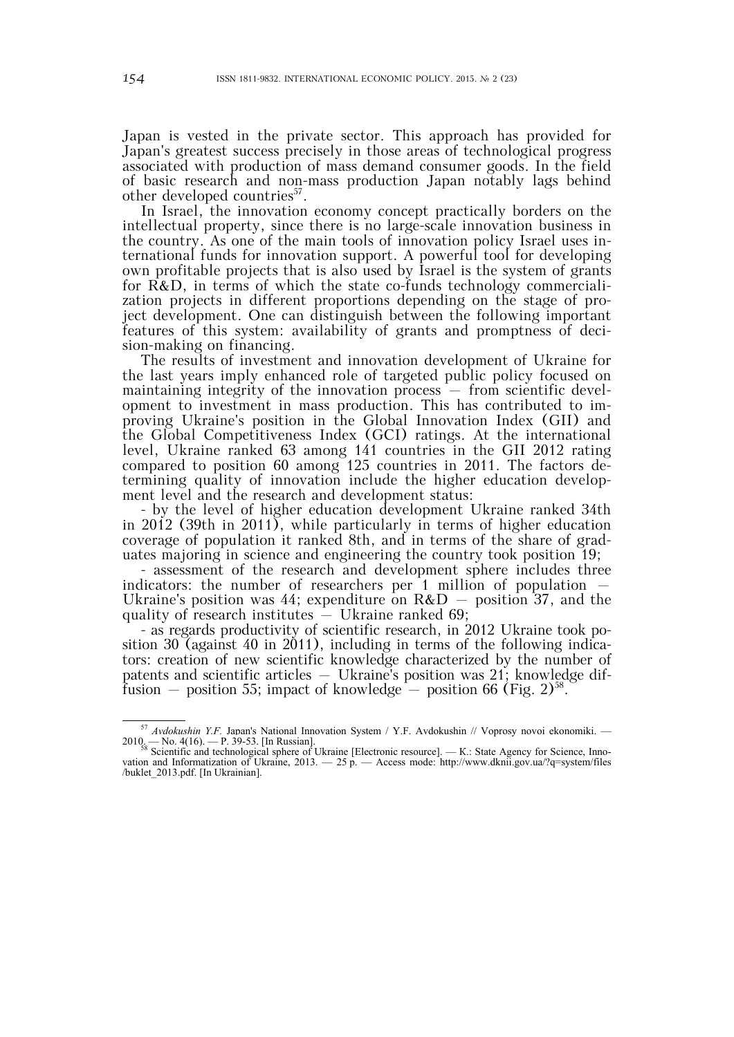Japan is vested in the private sector. This approach has provided for Japan's greatest success precisely in those areas of technological progress associated with production of mass demand consumer goods. In the field of basic research and non-mass production Japan notably lags behind other developed countries<sup>57</sup>.

In Israel, the innovation economy concept practically borders on the intellectual property, since there is no large-scale innovation business in the country. As one of the main tools of innovation policy Israel uses international funds for innovation support. A powerful tool for developing own profitable projects that is also used by Israel is the system of grants for R&D, in terms of which the state co-funds technology commercialization projects in different proportions depending on the stage of project development. One can distinguish between the following important features of this system: availability of grants and promptness of decision-making on financing.

The results of investment and innovation development of Ukraine for the last years imply enhanced role of targeted public policy focused on maintaining integrity of the innovation process – from scientific development to investment in mass production. This has contributed to improving Ukraine's position in the Global Innovation Index (GII) and the Global Competitiveness Index (GCI) ratings. At the international level, Ukraine ranked 63 among 141 countries in the GII 2012 rating compared to position 60 among 125 countries in 2011. The factors determining quality of innovation include the higher education development level and the research and development status:

- by the level of higher education development Ukraine ranked 34th in 2012 (39th in 2011), while particularly in terms of higher education coverage of population it ranked 8th, and in terms of the share of graduates majoring in science and engineering the country took position 19;

- assessment of the research and development sphere includes three indicators: the number of researchers per 1 million of population  $-$ Ukraine's position was 44; expenditure on  $R&D$  – position 37, and the quality of research institutes – Ukraine ranked 69;

- as regards productivity of scientific research, in 2012 Ukraine took position 30 (against 40 in 2011), including in terms of the following indicators: creation of new scientific knowledge characterized by the number of patents and scientific articles – Ukraine's position was 21; knowledge diffusion – position 55; impact of knowledge – position 66 (Fig.  $2^{58}$ .

 <sup>57</sup> *Avdokushin Y.F.* Japan's National Innovation System / Y.F. Avdokushin // Voprosy novoi ekonomiki. —  $2010$  — No. 4(16). — P. 39-53. [In Russian].<br><sup>58</sup> Scientific and technological sphere of Ukraine [Electronic resource]. — K.: State Agency for Science, Inno-

vation and Informatization of Ukraine, 2013. — 25 p. — Access mode: http://www.dknii.gov.ua/?q=system/files /buklet\_2013.pdf. [In Ukrainian].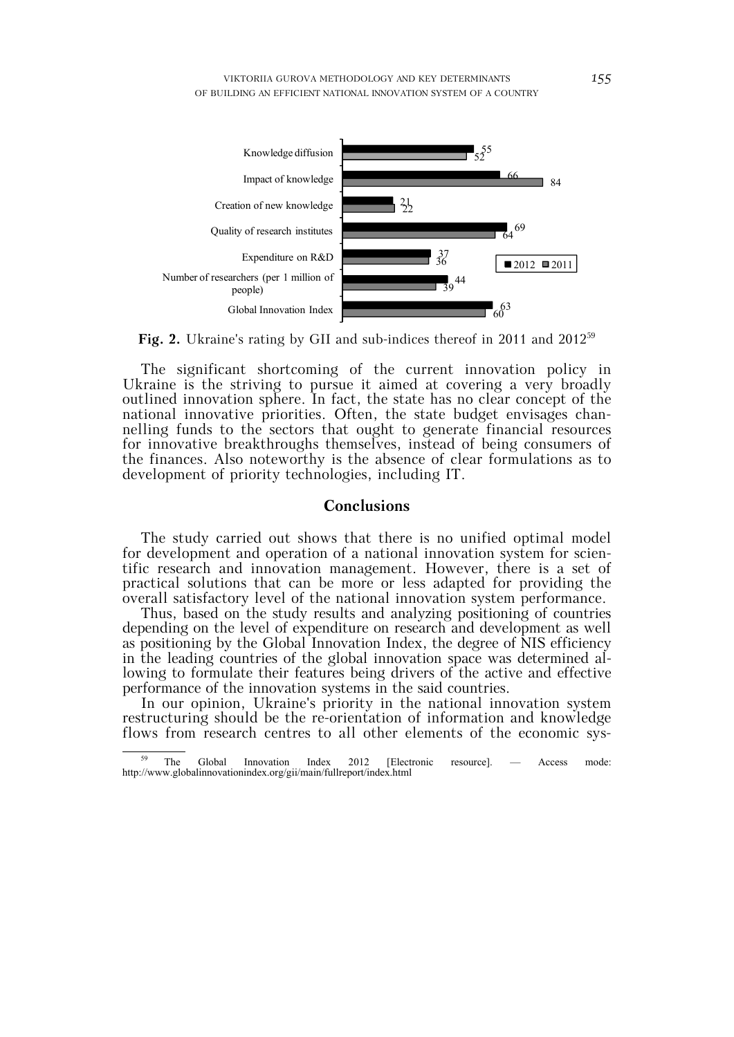



The significant shortcoming of the current innovation policy in Ukraine is the striving to pursue it aimed at covering a very broadly outlined innovation sphere. In fact, the state has no clear concept of the national innovative priorities. Often, the state budget envisages channelling funds to the sectors that ought to generate financial resources for innovative breakthroughs themselves, instead of being consumers of the finances. Also noteworthy is the absence of clear formulations as to development of priority technologies, including IT.

## **Conclusions**

The study carried out shows that there is no unified optimal model for development and operation of a national innovation system for scientific research and innovation management. However, there is a set of practical solutions that can be more or less adapted for providing the overall satisfactory level of the national innovation system performance.

Thus, based on the study results and analyzing positioning of countries depending on the level of expenditure on research and development as well as positioning by the Global Innovation Index, the degree of NIS efficiency in the leading countries of the global innovation space was determined allowing to formulate their features being drivers of the active and effective performance of the innovation systems in the said countries.

In our opinion, Ukraine's priority in the national innovation system restructuring should be the re-orientation of information and knowledge flows from research centres to all other elements of the economic sys-

 $\frac{59}{59}$  The Global Innovation Index 2012 [Electronic resource]. — Access mode: http://www.globalinnovationindex.org/gii/main/fullreport/index.html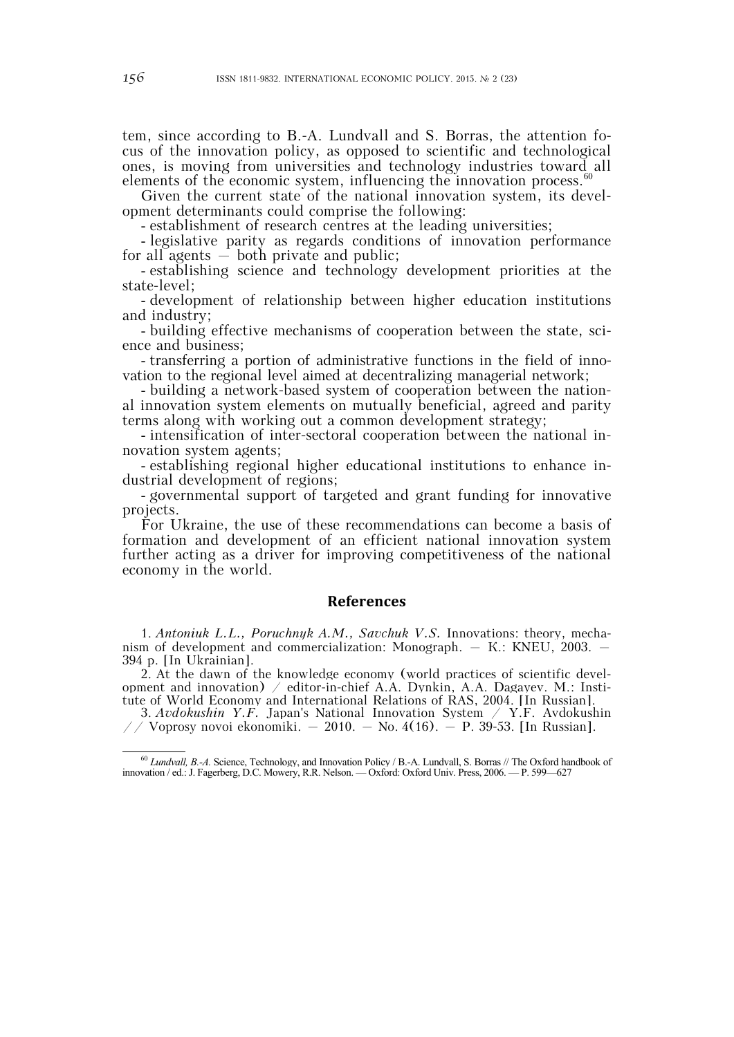tem, since according to B.-A. Lundvall and S. Borras, the attention focus of the innovation policy, as opposed to scientific and technological ones, is moving from universities and technology industries toward all elements of the economic system, influencing the innovation process.<sup>60</sup>

Given the current state of the national innovation system, its development determinants could comprise the following:

- establishment of research centres at the leading universities;

- legislative parity as regards conditions of innovation performance for all agents  $-$  both private and public;

- establishing science and technology development priorities at the state-level;

- development of relationship between higher education institutions and industry;

- building effective mechanisms of cooperation between the state, science and business;

- transferring a portion of administrative functions in the field of innovation to the regional level aimed at decentralizing managerial network;

- building a network-based system of cooperation between the national innovation system elements on mutually beneficial, agreed and parity terms along with working out a common development strategy;

- intensification of inter-sectoral cooperation between the national innovation system agents;

- establishing regional higher educational institutions to enhance industrial development of regions;

- governmental support of targeted and grant funding for innovative projects.

For Ukraine, the use of these recommendations can become a basis of formation and development of an efficient national innovation system further acting as a driver for improving competitiveness of the national economy in the world.

#### **References**

1. *Antoniuk L.L., Poruchnyk A.M., Savchuk V.S.* Innovations: theory, mechanism of development and commercialization: Monograph. – К.: KNEU, 2003. – 394 p. [In Ukrainian].

2. At the dawn of the knowledge economy (world practices of scientific development and innovation) / editor-in-chief A.A. Dynkin, A.A. Dagayev. М.: Institute of World Economy and International Relations of RAS, 2004. [In Russian].

3. *Avdokushin Y.F.* Japan's National Innovation System / Y.F. Avdokushin // Voprosy novoi ekonomiki.  $-2010. -$  No. 4(16).  $-$  P. 39-53. [In Russian].

 <sup>60</sup> *Lundvall, B.-A.* Science, Technology, and Innovation Policy / B.-A. Lundvall, S. Borras // The Oxford handbook of innovation / ed.: J. Fagerberg, D.C. Mowery, R.R. Nelson. — Oxford: Oxford Univ. Press, 2006. — Р. 599—627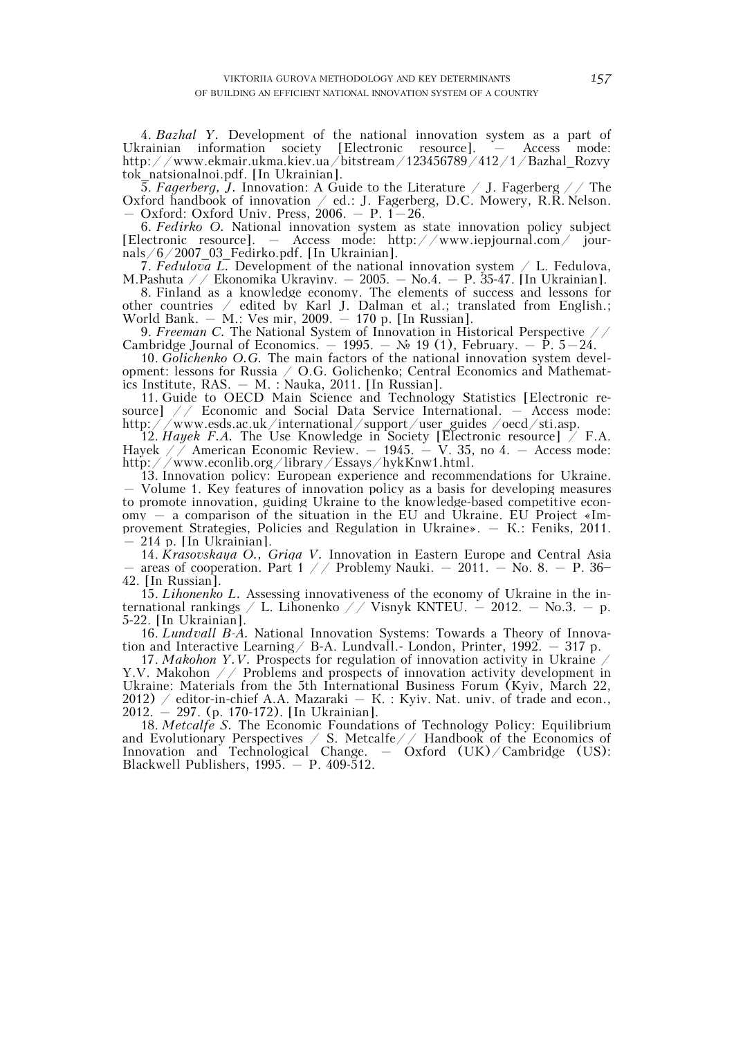4. *Bazhal Y.* Development of the national innovation system as a part of Ukrainian information society [Electronic resource]. – Access mode: http://www.ekmair.ukma.kiev.ua/bitstream/123456789/412/1/Bazhal\_Rozvy tok\_natsionalnoi.pdf. [In Ukrainian].

5. *Fagerberg, J.* Innovation: A Guide to the Literature / J. Fagerberg // The Oxford handbook of innovation  $\angle$  ed.: J. Fagerberg, D.C. Mowery, R.R. Nelson.  $-$  Oxford: Oxford Univ. Press, 2006.  $-$  P. 1 $-26$ .

6. *Fedirko O.* National innovation system as state innovation policy subject [Electronic resource]. – Access mode: http://www.iepjournal.com/ journals/6/2007\_03\_Fedirko.pdf. [In Ukrainian].

7. Fedulova L. Development of the national innovation system  $\angle$  L. Fedulova, M.Pashuta  $\angle$  / Ekonomika Ukrayiny. – 2005. – No.4. – P. 35-47. [In Ukrainian].

8. Finland as a knowledge economy. The elements of success and lessons for other countries / edited by Karl J. Dalman et al.; translated from English.; World Bank. – М.: Ves mir, 2009. – 170 p. [In Russian].

9. *Freeman C.* The National System of Innovation in Historical Perspective // Cambridge Journal of Economics. – 1995. –  $\mathcal{N}_2$  19 (1), February. –  $\mathcal{P}_1$ , 5–24.

10. *Golichenko O.G.* The main factors of the national innovation system development: lessons for Russia / O.G. Golichenko; Central Economics and Mathematics Institute, RAS. – М. : Nauka, 2011. [In Russian].

11. Guide to OECD Main Science and Technology Statistics [Electronic resource] // Economic and Social Data Service International. – Access mode: http://www.esds.ac.uk/international/support/user\_guides /oecd/sti.asp.

12. *Hayek F.A.* The Use Knowledge in Society [Electronic resource] / F.A. Hayek  $\sqrt{7}$  American Economic Review. – 1945. – V. 35, no 4. – Access mode: http://www.econlib.org/library/Essays/hykKnw1.html.

13. Innovation policy: European experience and recommendations for Ukraine. – Volume 1. Key features of innovation policy as a basis for developing measures to promote innovation, guiding Ukraine to the knowledge-based competitive economy – a comparison of the situation in the EU and Ukraine. EU Project «Improvement Strategies, Policies and Regulation in Ukraine». – К.: Feniks, 2011.  $-214$  p. [In Ukrainian].

14. *Krasovskaya O., Griga V.* Innovation in Eastern Europe and Central Asia – areas of cooperation. Part 1 // Problemy Nauki. – 2011. – No. 8. – P. 36– 42. [In Russian].

15. *Lihonenko L.* Assessing innovativeness of the economy of Ukraine in the international rankings  $\angle$  L. Lihonenko  $\angle$  Visnyk KNTEU. – 2012. – No.3. – p. 5-22. [In Ukrainian].

16. *Lundvall B-A.* National Innovation Systems: Towards a Theory of Innovation and Interactive Learning / B-A. Lundvall. - London, Printer,  $1992. - 317$  p.

17. *Makohon Y.V.* Prospects for regulation of innovation activity in Ukraine / Y.V. Makohon // Problems and prospects of innovation activity development in Ukraine: Materials from the 5th International Business Forum (Kyiv, March 22, 2012) / editor-in-chief A.A. Mazaraki  $-$  K. : Kyiv. Nat. univ. of trade and econ., 2012. – 297. (p. 170-172). [In Ukrainian].

18. *Metcalfe S.* The Economic Foundations of Technology Policy: Equilibrium and Evolutionary Perspectives  $\angle$  S. Metcalfe  $\angle$  / Handbook of the Economics of Innovation and Technological Change. – Oxford (UK)/Cambridge (US): Blackwell Publishers,  $1995 - P$ .  $409-512$ .